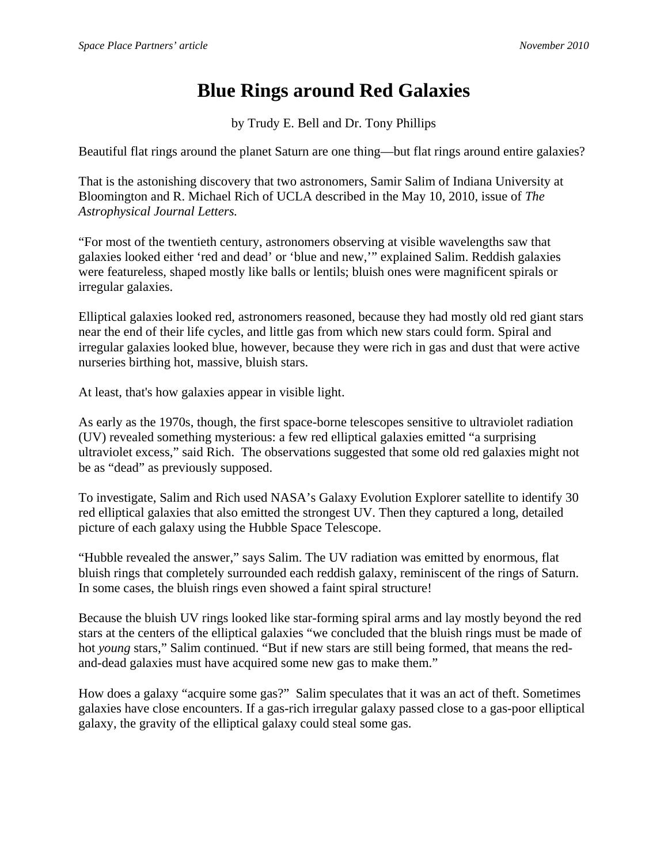## **Blue Rings around Red Galaxies**

by Trudy E. Bell and Dr. Tony Phillips

Beautiful flat rings around the planet Saturn are one thing—but flat rings around entire galaxies?

That is the astonishing discovery that two astronomers, Samir Salim of Indiana University at Bloomington and R. Michael Rich of UCLA described in the May 10, 2010, issue of *The Astrophysical Journal Letters.*

"For most of the twentieth century, astronomers observing at visible wavelengths saw that galaxies looked either 'red and dead' or 'blue and new,'" explained Salim. Reddish galaxies were featureless, shaped mostly like balls or lentils; bluish ones were magnificent spirals or irregular galaxies.

Elliptical galaxies looked red, astronomers reasoned, because they had mostly old red giant stars near the end of their life cycles, and little gas from which new stars could form. Spiral and irregular galaxies looked blue, however, because they were rich in gas and dust that were active nurseries birthing hot, massive, bluish stars.

At least, that's how galaxies appear in visible light.

As early as the 1970s, though, the first space-borne telescopes sensitive to ultraviolet radiation (UV) revealed something mysterious: a few red elliptical galaxies emitted "a surprising ultraviolet excess," said Rich. The observations suggested that some old red galaxies might not be as "dead" as previously supposed.

To investigate, Salim and Rich used NASA's Galaxy Evolution Explorer satellite to identify 30 red elliptical galaxies that also emitted the strongest UV. Then they captured a long, detailed picture of each galaxy using the Hubble Space Telescope.

"Hubble revealed the answer," says Salim. The UV radiation was emitted by enormous, flat bluish rings that completely surrounded each reddish galaxy, reminiscent of the rings of Saturn. In some cases, the bluish rings even showed a faint spiral structure!

Because the bluish UV rings looked like star-forming spiral arms and lay mostly beyond the red stars at the centers of the elliptical galaxies "we concluded that the bluish rings must be made of hot *young* stars," Salim continued. "But if new stars are still being formed, that means the redand-dead galaxies must have acquired some new gas to make them."

How does a galaxy "acquire some gas?" Salim speculates that it was an act of theft. Sometimes galaxies have close encounters. If a gas-rich irregular galaxy passed close to a gas-poor elliptical galaxy, the gravity of the elliptical galaxy could steal some gas.